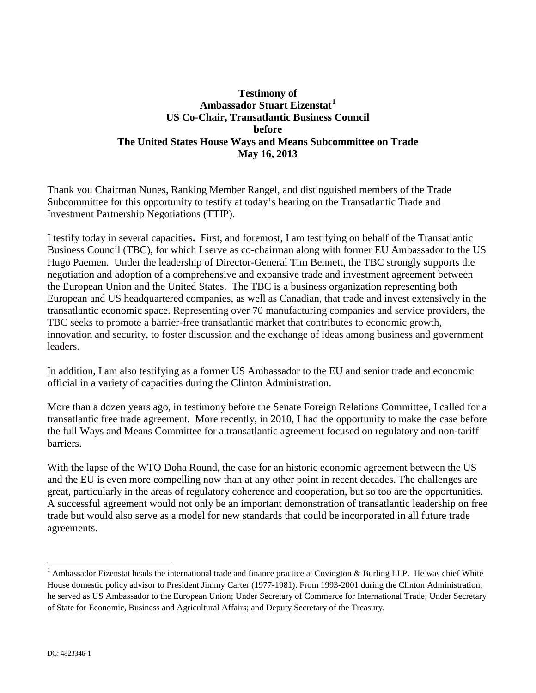## **Testimony of Ambassador Stuart Eizenstat[1](#page-0-0) US Co-Chair, Transatlantic Business Council before The United States House Ways and Means Subcommittee on Trade May 16, 2013**

Thank you Chairman Nunes, Ranking Member Rangel, and distinguished members of the Trade Subcommittee for this opportunity to testify at today's hearing on the Transatlantic Trade and Investment Partnership Negotiations (TTIP).

I testify today in several capacities**.** First, and foremost, I am testifying on behalf of the Transatlantic Business Council (TBC), for which I serve as co-chairman along with former EU Ambassador to the US Hugo Paemen. Under the leadership of Director-General Tim Bennett, the TBC strongly supports the negotiation and adoption of a comprehensive and expansive trade and investment agreement between the European Union and the United States. The TBC is a business organization representing both European and US headquartered companies, as well as Canadian, that trade and invest extensively in the transatlantic economic space. Representing over 70 manufacturing companies and service providers, the TBC seeks to promote a barrier-free transatlantic market that contributes to economic growth, innovation and security, to foster discussion and the exchange of ideas among business and government leaders.

In addition, I am also testifying as a former US Ambassador to the EU and senior trade and economic official in a variety of capacities during the Clinton Administration.

More than a dozen years ago, in testimony before the Senate Foreign Relations Committee, I called for a transatlantic free trade agreement. More recently, in 2010, I had the opportunity to make the case before the full Ways and Means Committee for a transatlantic agreement focused on regulatory and non-tariff barriers.

With the lapse of the WTO Doha Round, the case for an historic economic agreement between the US and the EU is even more compelling now than at any other point in recent decades. The challenges are great, particularly in the areas of regulatory coherence and cooperation, but so too are the opportunities. A successful agreement would not only be an important demonstration of transatlantic leadership on free trade but would also serve as a model for new standards that could be incorporated in all future trade agreements.

<span id="page-0-0"></span> $1$  Ambassador Eizenstat heads the international trade and finance practice at Covington & Burling LLP. He was chief White House domestic policy advisor to President Jimmy Carter (1977-1981). From 1993-2001 during the Clinton Administration, he served as US Ambassador to the European Union; Under Secretary of Commerce for International Trade; Under Secretary of State for Economic, Business and Agricultural Affairs; and Deputy Secretary of the Treasury.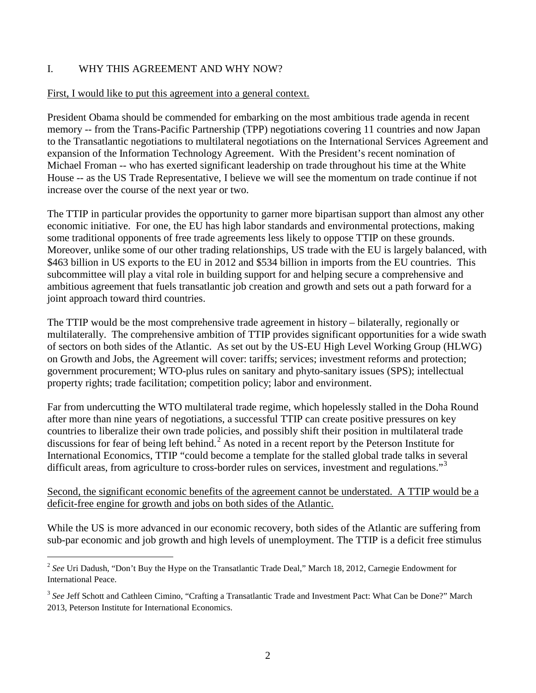## I. WHY THIS AGREEMENT AND WHY NOW?

#### First, I would like to put this agreement into a general context.

President Obama should be commended for embarking on the most ambitious trade agenda in recent memory -- from the Trans-Pacific Partnership (TPP) negotiations covering 11 countries and now Japan to the Transatlantic negotiations to multilateral negotiations on the International Services Agreement and expansion of the Information Technology Agreement. With the President's recent nomination of Michael Froman -- who has exerted significant leadership on trade throughout his time at the White House -- as the US Trade Representative, I believe we will see the momentum on trade continue if not increase over the course of the next year or two.

The TTIP in particular provides the opportunity to garner more bipartisan support than almost any other economic initiative. For one, the EU has high labor standards and environmental protections, making some traditional opponents of free trade agreements less likely to oppose TTIP on these grounds. Moreover, unlike some of our other trading relationships, US trade with the EU is largely balanced, with \$463 billion in US exports to the EU in 2012 and \$534 billion in imports from the EU countries. This subcommittee will play a vital role in building support for and helping secure a comprehensive and ambitious agreement that fuels transatlantic job creation and growth and sets out a path forward for a joint approach toward third countries.

The TTIP would be the most comprehensive trade agreement in history – bilaterally, regionally or multilaterally. The comprehensive ambition of TTIP provides significant opportunities for a wide swath of sectors on both sides of the Atlantic. As set out by the US-EU High Level Working Group (HLWG) on Growth and Jobs, the Agreement will cover: tariffs; services; investment reforms and protection; government procurement; WTO-plus rules on sanitary and phyto-sanitary issues (SPS); intellectual property rights; trade facilitation; competition policy; labor and environment.

Far from undercutting the WTO multilateral trade regime, which hopelessly stalled in the Doha Round after more than nine years of negotiations, a successful TTIP can create positive pressures on key countries to liberalize their own trade policies, and possibly shift their position in multilateral trade discussions for fear of being left behind.<sup>[2](#page-1-0)</sup> As noted in a recent report by the Peterson Institute for International Economics, TTIP "could become a template for the stalled global trade talks in several difficult areas, from agriculture to cross-border rules on services, investment and regulations."<sup>[3](#page-1-1)</sup>

### Second, the significant economic benefits of the agreement cannot be understated. A TTIP would be a deficit-free engine for growth and jobs on both sides of the Atlantic.

While the US is more advanced in our economic recovery, both sides of the Atlantic are suffering from sub-par economic and job growth and high levels of unemployment. The TTIP is a deficit free stimulus

<span id="page-1-0"></span><sup>&</sup>lt;sup>2</sup> See Uri Dadush, "Don't Buy the Hype on the Transatlantic Trade Deal," March 18, 2012, Carnegie Endowment for International Peace.

<span id="page-1-1"></span><sup>&</sup>lt;sup>3</sup> See Jeff Schott and Cathleen Cimino, "Crafting a Transatlantic Trade and Investment Pact: What Can be Done?" March 2013, Peterson Institute for International Economics.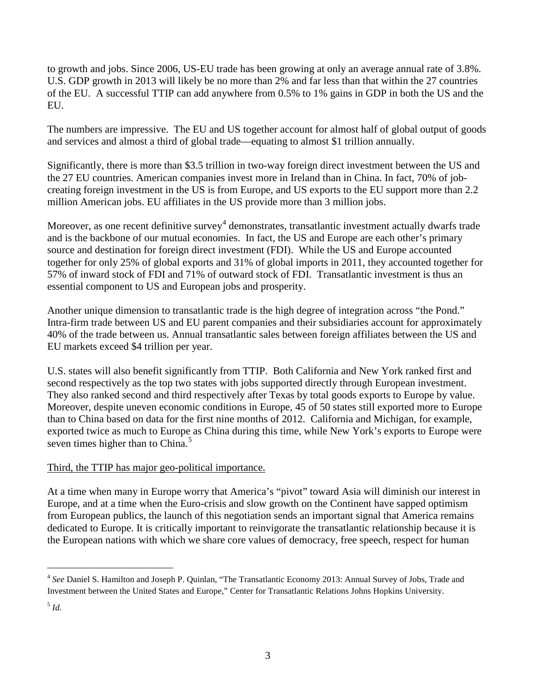to growth and jobs. Since 2006, US-EU trade has been growing at only an average annual rate of 3.8%. U.S. GDP growth in 2013 will likely be no more than 2% and far less than that within the 27 countries of the EU. A successful TTIP can add anywhere from 0.5% to 1% gains in GDP in both the US and the EU.

The numbers are impressive. The EU and US together account for almost half of global output of goods and services and almost a third of global trade—equating to almost \$1 trillion annually.

Significantly, there is more than \$3.5 trillion in two-way foreign direct investment between the US and the 27 EU countries. American companies invest more in Ireland than in China. In fact, 70% of jobcreating foreign investment in the US is from Europe, and US exports to the EU support more than 2.2 million American jobs. EU affiliates in the US provide more than 3 million jobs.

Moreover, as one recent definitive survey<sup>[4](#page-2-0)</sup> demonstrates, transatlantic investment actually dwarfs trade and is the backbone of our mutual economies. In fact, the US and Europe are each other's primary source and destination for foreign direct investment (FDI). While the US and Europe accounted together for only 25% of global exports and 31% of global imports in 2011, they accounted together for 57% of inward stock of FDI and 71% of outward stock of FDI. Transatlantic investment is thus an essential component to US and European jobs and prosperity.

Another unique dimension to transatlantic trade is the high degree of integration across "the Pond." Intra-firm trade between US and EU parent companies and their subsidiaries account for approximately 40% of the trade between us. Annual transatlantic sales between foreign affiliates between the US and EU markets exceed \$4 trillion per year.

U.S. states will also benefit significantly from TTIP. Both California and New York ranked first and second respectively as the top two states with jobs supported directly through European investment. They also ranked second and third respectively after Texas by total goods exports to Europe by value. Moreover, despite uneven economic conditions in Europe, 45 of 50 states still exported more to Europe than to China based on data for the first nine months of 2012. California and Michigan, for example, exported twice as much to Europe as China during this time, while New York's exports to Europe were seven times higher than to China.<sup>[5](#page-2-1)</sup>

## Third, the TTIP has major geo-political importance.

At a time when many in Europe worry that America's "pivot" toward Asia will diminish our interest in Europe, and at a time when the Euro-crisis and slow growth on the Continent have sapped optimism from European publics, the launch of this negotiation sends an important signal that America remains dedicated to Europe. It is critically important to reinvigorate the transatlantic relationship because it is the European nations with which we share core values of democracy, free speech, respect for human

<span id="page-2-0"></span><sup>4</sup> *See* Daniel S. Hamilton and Joseph P. Quinlan, "The Transatlantic Economy 2013: Annual Survey of Jobs, Trade and Investment between the United States and Europe," Center for Transatlantic Relations Johns Hopkins University.

<span id="page-2-1"></span><sup>5</sup> *Id.*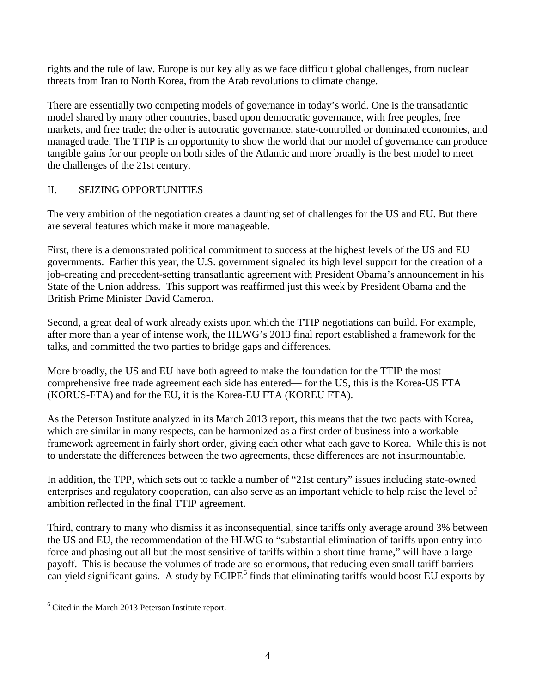rights and the rule of law. Europe is our key ally as we face difficult global challenges, from nuclear threats from Iran to North Korea, from the Arab revolutions to climate change.

There are essentially two competing models of governance in today's world. One is the transatlantic model shared by many other countries, based upon democratic governance, with free peoples, free markets, and free trade; the other is autocratic governance, state-controlled or dominated economies, and managed trade. The TTIP is an opportunity to show the world that our model of governance can produce tangible gains for our people on both sides of the Atlantic and more broadly is the best model to meet the challenges of the 21st century.

# II. SEIZING OPPORTUNITIES

The very ambition of the negotiation creates a daunting set of challenges for the US and EU. But there are several features which make it more manageable.

First, there is a demonstrated political commitment to success at the highest levels of the US and EU governments. Earlier this year, the U.S. government signaled its high level support for the creation of a job-creating and precedent-setting transatlantic agreement with President Obama's announcement in his State of the Union address. This support was reaffirmed just this week by President Obama and the British Prime Minister David Cameron.

Second, a great deal of work already exists upon which the TTIP negotiations can build. For example, after more than a year of intense work, the HLWG's 2013 final report established a framework for the talks, and committed the two parties to bridge gaps and differences.

More broadly, the US and EU have both agreed to make the foundation for the TTIP the most comprehensive free trade agreement each side has entered— for the US, this is the Korea-US FTA (KORUS-FTA) and for the EU, it is the Korea-EU FTA (KOREU FTA).

As the Peterson Institute analyzed in its March 2013 report, this means that the two pacts with Korea, which are similar in many respects, can be harmonized as a first order of business into a workable framework agreement in fairly short order, giving each other what each gave to Korea. While this is not to understate the differences between the two agreements, these differences are not insurmountable.

In addition, the TPP, which sets out to tackle a number of "21st century" issues including state-owned enterprises and regulatory cooperation, can also serve as an important vehicle to help raise the level of ambition reflected in the final TTIP agreement.

Third, contrary to many who dismiss it as inconsequential, since tariffs only average around 3% between the US and EU, the recommendation of the HLWG to "substantial elimination of tariffs upon entry into force and phasing out all but the most sensitive of tariffs within a short time frame," will have a large payoff. This is because the volumes of trade are so enormous, that reducing even small tariff barriers can yield significant gains. A study by  $ECIPE<sup>6</sup>$  $ECIPE<sup>6</sup>$  $ECIPE<sup>6</sup>$  finds that eliminating tariffs would boost EU exports by

<span id="page-3-0"></span><sup>6</sup> Cited in the March 2013 Peterson Institute report.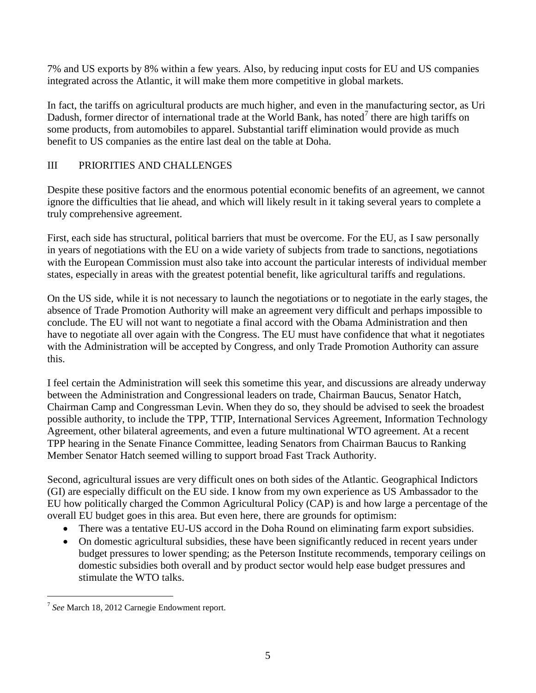7% and US exports by 8% within a few years. Also, by reducing input costs for EU and US companies integrated across the Atlantic, it will make them more competitive in global markets.

In fact, the tariffs on agricultural products are much higher, and even in the manufacturing sector, as Uri Dadush, former director of international trade at the World Bank, has noted<sup>[7](#page-4-0)</sup> there are high tariffs on some products, from automobiles to apparel. Substantial tariff elimination would provide as much benefit to US companies as the entire last deal on the table at Doha.

## III PRIORITIES AND CHALLENGES

Despite these positive factors and the enormous potential economic benefits of an agreement, we cannot ignore the difficulties that lie ahead, and which will likely result in it taking several years to complete a truly comprehensive agreement.

First, each side has structural, political barriers that must be overcome. For the EU, as I saw personally in years of negotiations with the EU on a wide variety of subjects from trade to sanctions, negotiations with the European Commission must also take into account the particular interests of individual member states, especially in areas with the greatest potential benefit, like agricultural tariffs and regulations.

On the US side, while it is not necessary to launch the negotiations or to negotiate in the early stages, the absence of Trade Promotion Authority will make an agreement very difficult and perhaps impossible to conclude. The EU will not want to negotiate a final accord with the Obama Administration and then have to negotiate all over again with the Congress. The EU must have confidence that what it negotiates with the Administration will be accepted by Congress, and only Trade Promotion Authority can assure this.

I feel certain the Administration will seek this sometime this year, and discussions are already underway between the Administration and Congressional leaders on trade, Chairman Baucus, Senator Hatch, Chairman Camp and Congressman Levin. When they do so, they should be advised to seek the broadest possible authority, to include the TPP, TTIP, International Services Agreement, Information Technology Agreement, other bilateral agreements, and even a future multinational WTO agreement. At a recent TPP hearing in the Senate Finance Committee, leading Senators from Chairman Baucus to Ranking Member Senator Hatch seemed willing to support broad Fast Track Authority.

Second, agricultural issues are very difficult ones on both sides of the Atlantic. Geographical Indictors (GI) are especially difficult on the EU side. I know from my own experience as US Ambassador to the EU how politically charged the Common Agricultural Policy (CAP) is and how large a percentage of the overall EU budget goes in this area. But even here, there are grounds for optimism:

- There was a tentative EU-US accord in the Doha Round on eliminating farm export subsidies.
- On domestic agricultural subsidies, these have been significantly reduced in recent years under budget pressures to lower spending; as the Peterson Institute recommends, temporary ceilings on domestic subsidies both overall and by product sector would help ease budget pressures and stimulate the WTO talks.

<span id="page-4-0"></span><sup>7</sup> *See* March 18, 2012 Carnegie Endowment report.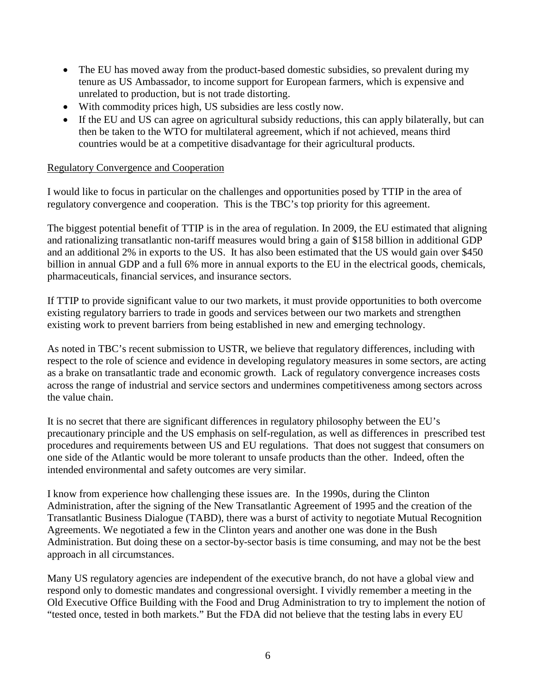- The EU has moved away from the product-based domestic subsidies, so prevalent during my tenure as US Ambassador, to income support for European farmers, which is expensive and unrelated to production, but is not trade distorting.
- With commodity prices high, US subsidies are less costly now.
- If the EU and US can agree on agricultural subsidy reductions, this can apply bilaterally, but can then be taken to the WTO for multilateral agreement, which if not achieved, means third countries would be at a competitive disadvantage for their agricultural products.

### Regulatory Convergence and Cooperation

I would like to focus in particular on the challenges and opportunities posed by TTIP in the area of regulatory convergence and cooperation. This is the TBC's top priority for this agreement.

The biggest potential benefit of TTIP is in the area of regulation. In 2009, the EU estimated that aligning and rationalizing transatlantic non-tariff measures would bring a gain of \$158 billion in additional GDP and an additional 2% in exports to the US. It has also been estimated that the US would gain over \$450 billion in annual GDP and a full 6% more in annual exports to the EU in the electrical goods, chemicals, pharmaceuticals, financial services, and insurance sectors.

If TTIP to provide significant value to our two markets, it must provide opportunities to both overcome existing regulatory barriers to trade in goods and services between our two markets and strengthen existing work to prevent barriers from being established in new and emerging technology.

As noted in TBC's recent submission to USTR, we believe that regulatory differences, including with respect to the role of science and evidence in developing regulatory measures in some sectors, are acting as a brake on transatlantic trade and economic growth. Lack of regulatory convergence increases costs across the range of industrial and service sectors and undermines competitiveness among sectors across the value chain.

It is no secret that there are significant differences in regulatory philosophy between the EU's precautionary principle and the US emphasis on self-regulation, as well as differences in prescribed test procedures and requirements between US and EU regulations. That does not suggest that consumers on one side of the Atlantic would be more tolerant to unsafe products than the other. Indeed, often the intended environmental and safety outcomes are very similar.

I know from experience how challenging these issues are. In the 1990s, during the Clinton Administration, after the signing of the New Transatlantic Agreement of 1995 and the creation of the Transatlantic Business Dialogue (TABD), there was a burst of activity to negotiate Mutual Recognition Agreements. We negotiated a few in the Clinton years and another one was done in the Bush Administration. But doing these on a sector-by-sector basis is time consuming, and may not be the best approach in all circumstances.

Many US regulatory agencies are independent of the executive branch, do not have a global view and respond only to domestic mandates and congressional oversight. I vividly remember a meeting in the Old Executive Office Building with the Food and Drug Administration to try to implement the notion of "tested once, tested in both markets." But the FDA did not believe that the testing labs in every EU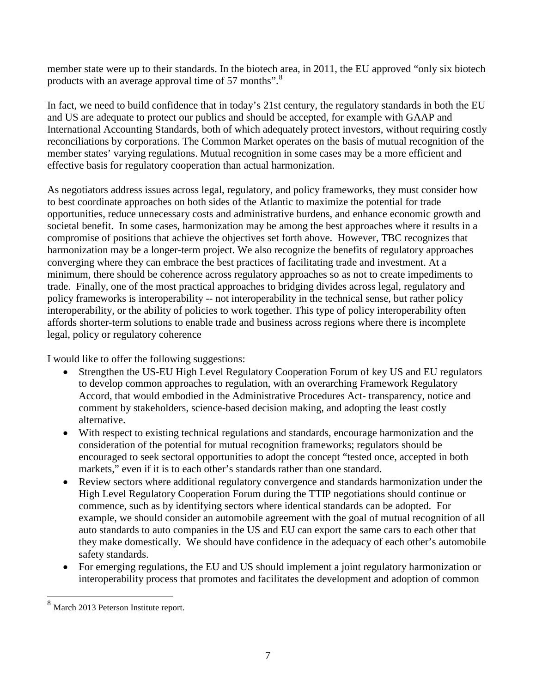member state were up to their standards. In the biotech area, in 2011, the EU approved "only six biotech products with an average approval time of 57 months".<sup>[8](#page-6-0)</sup>

In fact, we need to build confidence that in today's 21st century, the regulatory standards in both the EU and US are adequate to protect our publics and should be accepted, for example with GAAP and International Accounting Standards, both of which adequately protect investors, without requiring costly reconciliations by corporations. The Common Market operates on the basis of mutual recognition of the member states' varying regulations. Mutual recognition in some cases may be a more efficient and effective basis for regulatory cooperation than actual harmonization.

As negotiators address issues across legal, regulatory, and policy frameworks, they must consider how to best coordinate approaches on both sides of the Atlantic to maximize the potential for trade opportunities, reduce unnecessary costs and administrative burdens, and enhance economic growth and societal benefit. In some cases, harmonization may be among the best approaches where it results in a compromise of positions that achieve the objectives set forth above. However, TBC recognizes that harmonization may be a longer-term project. We also recognize the benefits of regulatory approaches converging where they can embrace the best practices of facilitating trade and investment. At a minimum, there should be coherence across regulatory approaches so as not to create impediments to trade. Finally, one of the most practical approaches to bridging divides across legal, regulatory and policy frameworks is interoperability -- not interoperability in the technical sense, but rather policy interoperability, or the ability of policies to work together. This type of policy interoperability often affords shorter-term solutions to enable trade and business across regions where there is incomplete legal, policy or regulatory coherence

I would like to offer the following suggestions:

- Strengthen the US-EU High Level Regulatory Cooperation Forum of key US and EU regulators to develop common approaches to regulation, with an overarching Framework Regulatory Accord, that would embodied in the Administrative Procedures Act- transparency, notice and comment by stakeholders, science-based decision making, and adopting the least costly alternative.
- With respect to existing technical regulations and standards, encourage harmonization and the consideration of the potential for mutual recognition frameworks; regulators should be encouraged to seek sectoral opportunities to adopt the concept "tested once, accepted in both markets," even if it is to each other's standards rather than one standard.
- Review sectors where additional regulatory convergence and standards harmonization under the High Level Regulatory Cooperation Forum during the TTIP negotiations should continue or commence, such as by identifying sectors where identical standards can be adopted. For example, we should consider an automobile agreement with the goal of mutual recognition of all auto standards to auto companies in the US and EU can export the same cars to each other that they make domestically. We should have confidence in the adequacy of each other's automobile safety standards.
- For emerging regulations, the EU and US should implement a joint regulatory harmonization or interoperability process that promotes and facilitates the development and adoption of common

 $\overline{\phantom{a}}$ 

<span id="page-6-0"></span><sup>8</sup> March 2013 Peterson Institute report.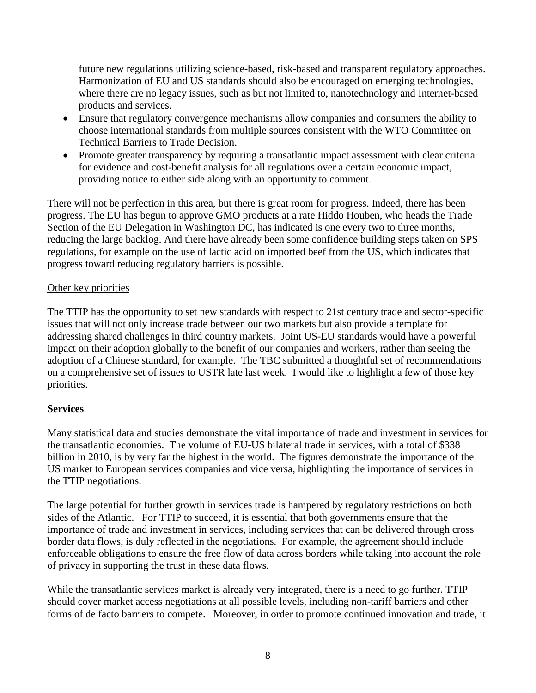future new regulations utilizing science-based, risk-based and transparent regulatory approaches. Harmonization of EU and US standards should also be encouraged on emerging technologies, where there are no legacy issues, such as but not limited to, nanotechnology and Internet-based products and services.

- Ensure that regulatory convergence mechanisms allow companies and consumers the ability to choose international standards from multiple sources consistent with the WTO Committee on Technical Barriers to Trade Decision.
- Promote greater transparency by requiring a transatlantic impact assessment with clear criteria for evidence and cost-benefit analysis for all regulations over a certain economic impact, providing notice to either side along with an opportunity to comment.

There will not be perfection in this area, but there is great room for progress. Indeed, there has been progress. The EU has begun to approve GMO products at a rate Hiddo Houben, who heads the Trade Section of the EU Delegation in Washington DC, has indicated is one every two to three months, reducing the large backlog. And there have already been some confidence building steps taken on SPS regulations, for example on the use of lactic acid on imported beef from the US, which indicates that progress toward reducing regulatory barriers is possible.

### Other key priorities

The TTIP has the opportunity to set new standards with respect to 21st century trade and sector-specific issues that will not only increase trade between our two markets but also provide a template for addressing shared challenges in third country markets. Joint US-EU standards would have a powerful impact on their adoption globally to the benefit of our companies and workers, rather than seeing the adoption of a Chinese standard, for example. The TBC submitted a thoughtful set of recommendations on a comprehensive set of issues to USTR late last week. I would like to highlight a few of those key priorities.

## **Services**

Many statistical data and studies demonstrate the vital importance of trade and investment in services for the transatlantic economies. The volume of EU-US bilateral trade in services, with a total of \$338 billion in 2010, is by very far the highest in the world. The figures demonstrate the importance of the US market to European services companies and vice versa, highlighting the importance of services in the TTIP negotiations.

The large potential for further growth in services trade is hampered by regulatory restrictions on both sides of the Atlantic. For TTIP to succeed, it is essential that both governments ensure that the importance of trade and investment in services, including services that can be delivered through cross border data flows, is duly reflected in the negotiations. For example, the agreement should include enforceable obligations to ensure the free flow of data across borders while taking into account the role of privacy in supporting the trust in these data flows.

While the transatlantic services market is already very integrated, there is a need to go further. TTIP should cover market access negotiations at all possible levels, including non-tariff barriers and other forms of de facto barriers to compete. Moreover, in order to promote continued innovation and trade, it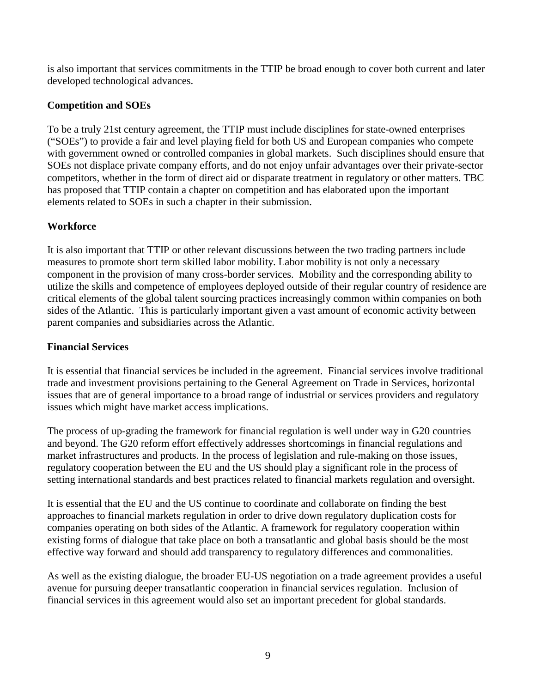is also important that services commitments in the TTIP be broad enough to cover both current and later developed technological advances.

## **Competition and SOEs**

To be a truly 21st century agreement, the TTIP must include disciplines for state-owned enterprises ("SOEs") to provide a fair and level playing field for both US and European companies who compete with government owned or controlled companies in global markets. Such disciplines should ensure that SOEs not displace private company efforts, and do not enjoy unfair advantages over their private-sector competitors, whether in the form of direct aid or disparate treatment in regulatory or other matters. TBC has proposed that TTIP contain a chapter on competition and has elaborated upon the important elements related to SOEs in such a chapter in their submission.

## **Workforce**

It is also important that TTIP or other relevant discussions between the two trading partners include measures to promote short term skilled labor mobility. Labor mobility is not only a necessary component in the provision of many cross-border services. Mobility and the corresponding ability to utilize the skills and competence of employees deployed outside of their regular country of residence are critical elements of the global talent sourcing practices increasingly common within companies on both sides of the Atlantic. This is particularly important given a vast amount of economic activity between parent companies and subsidiaries across the Atlantic.

## **Financial Services**

It is essential that financial services be included in the agreement. Financial services involve traditional trade and investment provisions pertaining to the General Agreement on Trade in Services, horizontal issues that are of general importance to a broad range of industrial or services providers and regulatory issues which might have market access implications.

The process of up-grading the framework for financial regulation is well under way in G20 countries and beyond. The G20 reform effort effectively addresses shortcomings in financial regulations and market infrastructures and products. In the process of legislation and rule-making on those issues, regulatory cooperation between the EU and the US should play a significant role in the process of setting international standards and best practices related to financial markets regulation and oversight.

It is essential that the EU and the US continue to coordinate and collaborate on finding the best approaches to financial markets regulation in order to drive down regulatory duplication costs for companies operating on both sides of the Atlantic. A framework for regulatory cooperation within existing forms of dialogue that take place on both a transatlantic and global basis should be the most effective way forward and should add transparency to regulatory differences and commonalities.

As well as the existing dialogue, the broader EU-US negotiation on a trade agreement provides a useful avenue for pursuing deeper transatlantic cooperation in financial services regulation. Inclusion of financial services in this agreement would also set an important precedent for global standards.